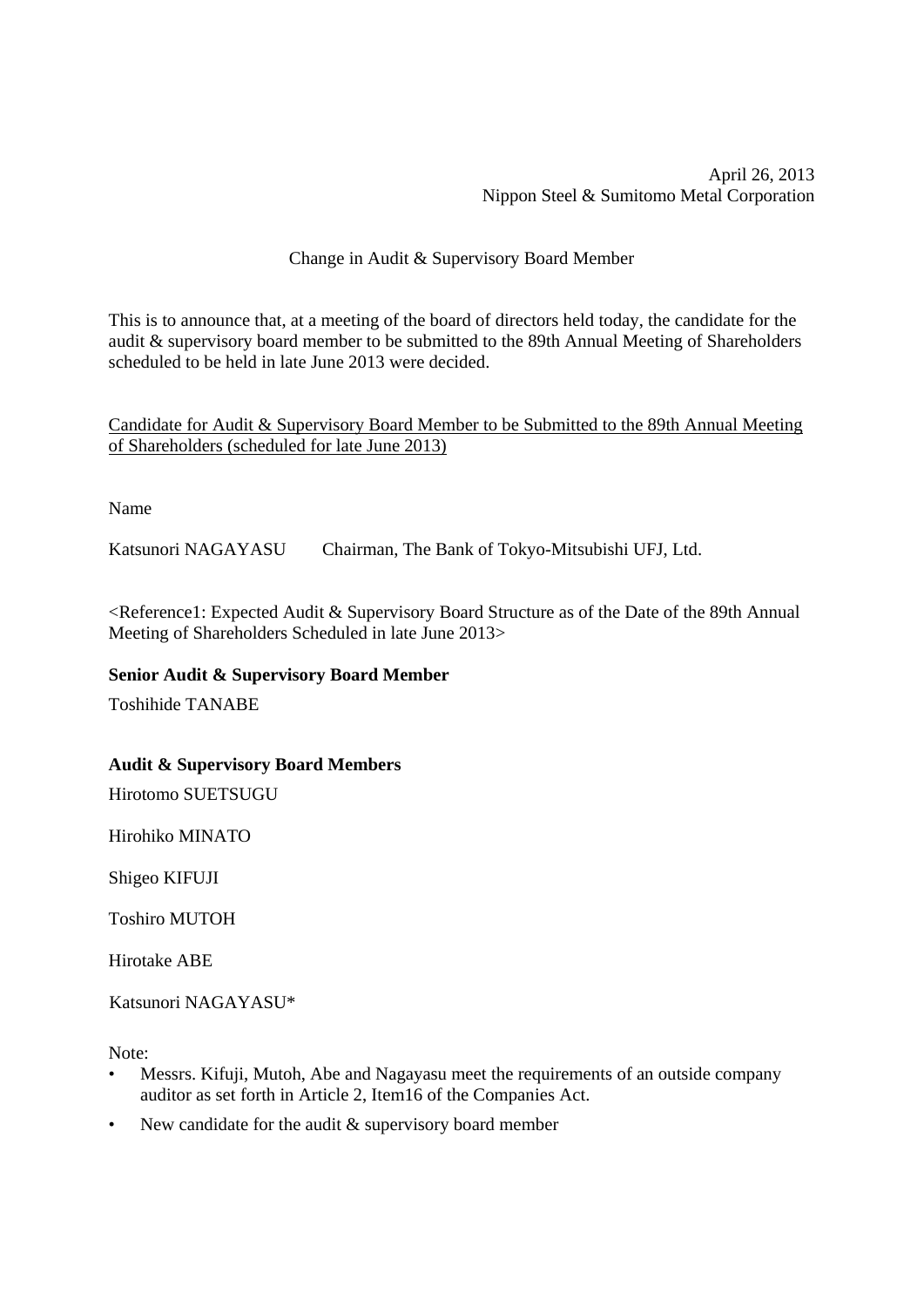## Change in Audit & Supervisory Board Member

This is to announce that, at a meeting of the board of directors held today, the candidate for the audit & supervisory board member to be submitted to the 89th Annual Meeting of Shareholders scheduled to be held in late June 2013 were decided.

Candidate for Audit & Supervisory Board Member to be Submitted to the 89th Annual Meeting of Shareholders (scheduled for late June 2013)

Name

Katsunori NAGAYASU Chairman, The Bank of Tokyo-Mitsubishi UFJ, Ltd.

<Reference1: Expected Audit & Supervisory Board Structure as of the Date of the 89th Annual Meeting of Shareholders Scheduled in late June 2013>

## **Senior Audit & Supervisory Board Member**

Toshihide TANABE

## **Audit & Supervisory Board Members**

Hirotomo SUETSUGU

Hirohiko MINATO

Shigeo KIFUJI

Toshiro MUTOH

Hirotake ABE

Katsunori NAGAYASU\*

Note:

- Messrs. Kifuji, Mutoh, Abe and Nagayasu meet the requirements of an outside company auditor as set forth in Article 2, Item16 of the Companies Act.
- New candidate for the audit & supervisory board member